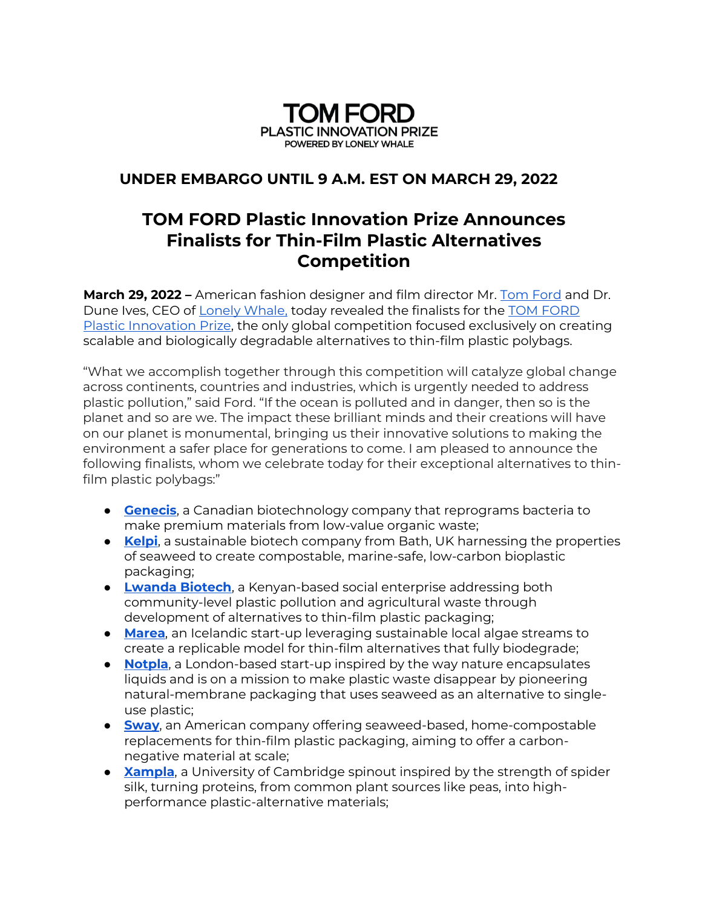

## **UNDER EMBARGO UNTIL 9 A.M. EST ON MARCH 29, 2022**

## **TOM FORD Plastic Innovation Prize Announces Finalists for Thin-Film Plastic Alternatives Competition**

**March 29, 2022 –** American fashion designer and film director Mr. [Tom Ford](https://www.tomford.com/) and Dr. Dune Ives, CEO of [Lonely Whale,](https://www.lonelywhale.org/) today revealed the finalists for the TOM FORD Plastic Innovation Prize, the only global competition focused exclusively on creating scalable and biologically degradable alternatives to thin-film plastic polybags.

"What we accomplish together through this competition will catalyze global change across continents, countries and industries, which is urgently needed to address plastic pollution," said Ford. "If the ocean is polluted and in danger, then so is the planet and so are we. The impact these brilliant minds and their creations will have on our planet is monumental, bringing us their innovative solutions to making the environment a safer place for generations to come. I am pleased to announce the following finalists, whom we celebrate today for their exceptional alternatives to thinfilm plastic polybags:"

- **[Genecis](https://genecis.co/)**, a Canadian biotechnology company that reprograms bacteria to make premium materials from low-value organic waste;
- **[Kelpi](https://www.kelpi.net/)**, a sustainable biotech company from Bath, UK harnessing the properties of seaweed to create compostable, marine-safe, low-carbon bioplastic packaging;
- **[Lwanda Biotech](https://lwandabiotech.co.ke/)**, a Kenyan-based social enterprise addressing both community-level plastic pollution and agricultural waste through development of alternatives to thin-film plastic packaging;
- **[Marea](https://marea.is/)**, an Icelandic start-up leveraging sustainable local algae streams to create a replicable model for thin-film alternatives that fully biodegrade;
- **[Notpla](https://www.notpla.com/)**, a London-based start-up inspired by the way nature encapsulates liquids and is on a mission to make plastic waste disappear by pioneering natural-membrane packaging that uses seaweed as an alternative to singleuse plastic;
- **[Sway](https://swaythefuture.com/)**, an American company offering seaweed-based, home-compostable replacements for thin-film plastic packaging, aiming to offer a carbonnegative material at scale;
- **[Xampla](https://www.xampla.com/)**, a University of Cambridge spinout inspired by the strength of spider silk, turning proteins, from common plant sources like peas, into highperformance plastic-alternative materials;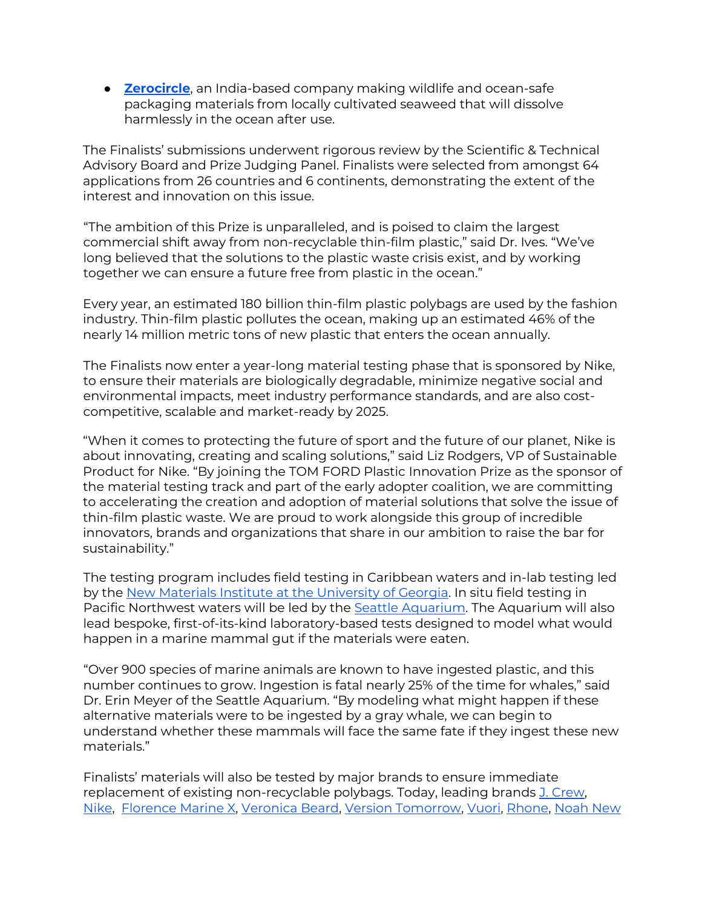**• [Zerocircle](https://www.zerocircle.in/)**, an India-based company making wildlife and ocean-safe packaging materials from locally cultivated seaweed that will dissolve harmlessly in the ocean after use.

The Finalists' submissions underwent rigorous review by the Scientific & Technical Advisory Board and Prize Judging Panel. Finalists were selected from amongst 64 applications from 26 countries and 6 continents, demonstrating the extent of the interest and innovation on this issue.

"The ambition of this Prize is unparalleled, and is poised to claim the largest commercial shift away from non-recyclable thin-film plastic," said Dr. Ives. "We've long believed that the solutions to the plastic waste crisis exist, and by working together we can ensure a future free from plastic in the ocean."

Every year, an estimated 180 billion thin-film plastic polybags are used by the fashion industry. Thin-film plastic pollutes the ocean, making up an estimated 46% of the nearly 14 million metric tons of new plastic that enters the ocean annually.

The Finalists now enter a year-long material testing phase that is sponsored by Nike, to ensure their materials are biologically degradable, minimize negative social and environmental impacts, meet industry performance standards, and are also costcompetitive, scalable and market-ready by 2025.

"When it comes to protecting the future of sport and the future of our planet, Nike is about innovating, creating and scaling solutions," said Liz Rodgers, VP of Sustainable Product for Nike. "By joining the TOM FORD Plastic Innovation Prize as the sponsor of the material testing track and part of the early adopter coalition, we are committing to accelerating the creation and adoption of material solutions that solve the issue of thin-film plastic waste. We are proud to work alongside this group of incredible innovators, brands and organizations that share in our ambition to raise the bar for sustainability."

The testing program includes field testing in Caribbean waters and in-lab testing led by the [New Materials Institute at the University of Georgia. In situ fi](https://newmaterials.uga.edu/)eld testing in Pacific Northwest waters will be led by the [Seattle Aquarium.](https://www.seattleaquarium.org/) The Aquarium will also lead bespoke, first-of-its-kind laboratory-based tests designed to model what would happen in a marine mammal gut if the materials were eaten.

"Over 900 species of marine animals are known to have ingested plastic, and this number continues to grow. Ingestion is fatal nearly 25% of the time for whales," said Dr. Erin Meyer of the Seattle Aquarium. "By modeling what might happen if these alternative materials were to be ingested by a gray whale, we can begin to understand whether these mammals will face the same fate if they ingest these new materials."

Finalists' materials will also be tested by major brands to ensure immediate replacement of existing non-recyclable polybags. Today, leading brands [J. Crew,](https://www.jcrew.com/) [Nike,](https://www.nike.com/) [Florence Marine X,](https://www.florencemarinex.com/) [Veronica Beard,](https://veronicabeard.com/) [Version Tomorrow,](https://versiontomorrow.com/) [Vuori,](https://vuoriclothing.com/) [Rhone,](https://www.rhone.com/) [Noah New](https://noahny.com/password)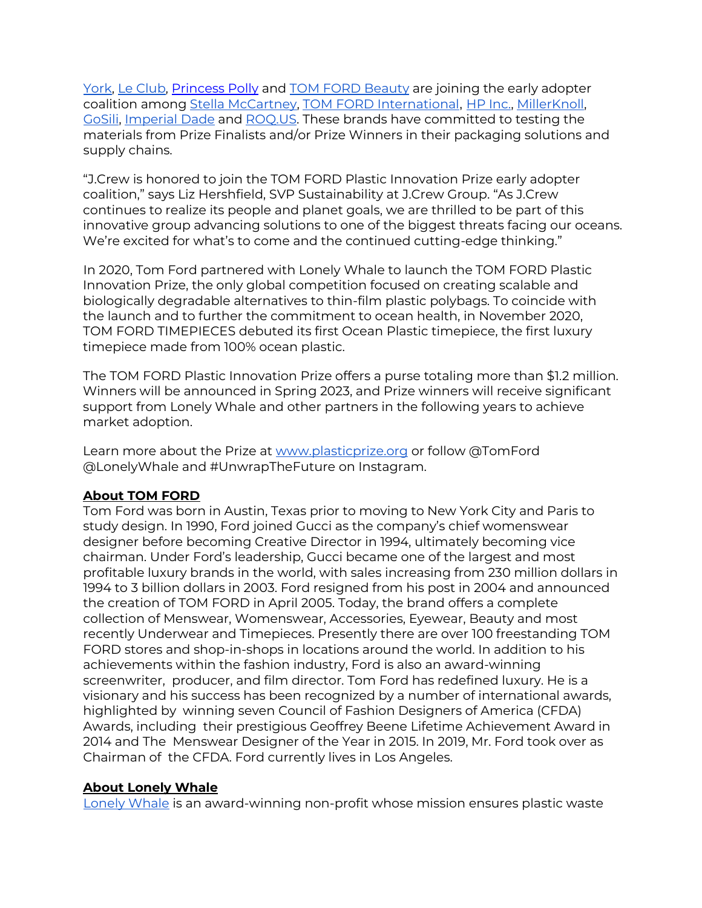[York,](https://noahny.com/password) [Le Club,](https://www.lecluboriginal.com/) [Princess Polly](https://us.princesspolly.com/) and [TOM FORD Beauty](https://www.tomford.com/beauty/) are joining the early adopter coalition among [Stella McCartney,](https://www.stellamccartney.com/us/en/) [TOM FORD International](https://www.tomford.com/), [HP Inc.,](https://www.hp.com/us-en/home.html) [MillerKnoll,](https://www.millerknoll.com/) [GoSili,](https://www.gosili.com/) [Imperial Dade](https://imperialdade.com/) and [ROQ.US](https://www.roq.us/)[. These brands h](https://noahny.com/password)ave committed to testing the materials from Prize Finalists and/or Prize Winners in their packaging solutions and supply chains.

"J.Crew is honored to join the TOM FORD Plastic Innovation Prize early adopter coalition," says Liz Hershfield, SVP Sustainability at J.Crew Group. "As J.Crew continues to realize its people and planet goals, we are thrilled to be part of this innovative group advancing solutions to one of the biggest threats facing our oceans. We're excited for what's to come and the continued cutting-edge thinking."

In 2020, Tom Ford partnered with Lonely Whale to launch the TOM FORD Plastic Innovation Prize, the only global competition focused on creating scalable and biologically degradable alternatives to thin-film plastic polybags. To coincide with the launch and to further the commitment to ocean health, in November 2020, TOM FORD TIMEPIECES debuted its first Ocean Plastic timepiece, the first luxury timepiece made from 100% ocean plastic.

The TOM FORD Plastic Innovation Prize offers a purse totaling more than \$1.2 million. Winners will be announced in Spring 2023, and Prize winners will receive significant support from Lonely Whale and other partners in the following years to achieve market adoption.

Learn more about the Prize at [www.plasticprize.org](http://www.plasticprize.org/) or follow @TomFord @LonelyWhale and #UnwrapTheFuture on Instagram.

## **About TOM FORD**

Tom Ford was born in Austin, Texas prior to moving to New York City and Paris to study design. In 1990, Ford joined Gucci as the company's chief womenswear designer before becoming Creative Director in 1994, ultimately becoming vice chairman. Under Ford's leadership, Gucci became one of the largest and most profitable luxury brands in the world, with sales increasing from 230 million dollars in 1994 to 3 billion dollars in 2003. Ford resigned from his post in 2004 and announced the creation of TOM FORD in April 2005. Today, the brand offers a complete collection of Menswear, Womenswear, Accessories, Eyewear, Beauty and most recently Underwear and Timepieces. Presently there are over 100 freestanding TOM FORD stores and shop-in-shops in locations around the world. In addition to his achievements within the fashion industry, Ford is also an award-winning screenwriter, producer, and film director. Tom Ford has redefined luxury. He is a visionary and his success has been recognized by a number of international awards, highlighted by winning seven Council of Fashion Designers of America (CFDA) Awards, including their prestigious Geoffrey Beene Lifetime Achievement Award in 2014 and The Menswear Designer of the Year in 2015. In 2019, Mr. Ford took over as Chairman of the CFDA. Ford currently lives in Los Angeles.

## **About Lonely Whale**

Lonely Whale is an award-winning non-profit whose mission ensures plastic waste